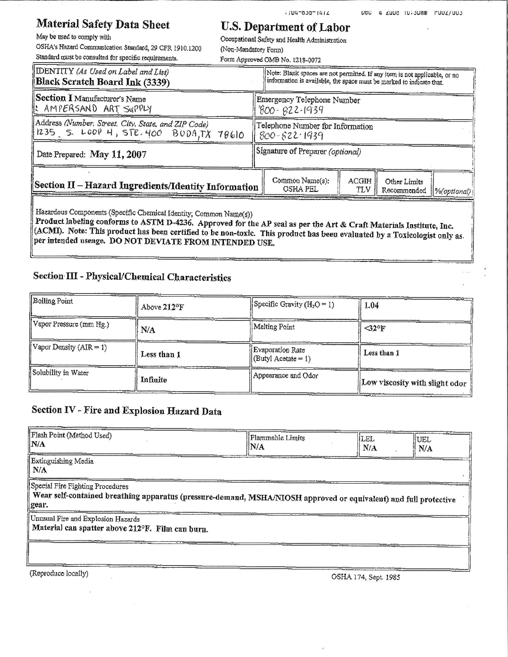### **Material Safety Data Sheet**

May be used to comply with OSHA's Hazard Communication Standard, 29 CFR 1910.1200 Standard must be consulted for specific requirements.

# **U.S. Department of Labor**

 $111 - 630 - 1412$ 

Occupational Safety and Health Administration

(Non-Mandatory Form) Form Approved OMB No. 1218-0072

| DENTITY (As Used on Label and List)<br>Black Scratch Board Ink (3339)                          |                                  | Note: Blank spaces are not permitted. If any item is not applicable, or no<br>information is available, the space must be marked to indicate that. |                     |                             |             |
|------------------------------------------------------------------------------------------------|----------------------------------|----------------------------------------------------------------------------------------------------------------------------------------------------|---------------------|-----------------------------|-------------|
| Section I Manufacturer's Name<br>IL AMPERSAND ART SUPPLY                                       |                                  | Emergency Telephone Number<br>$800 - 622 - 1939$                                                                                                   |                     |                             |             |
| Address (Number, Street, City, State, and ZIP Code)<br>1235 S. LOOP H, STE. 400 BODA, TX 78610 |                                  | Telephone Number for Information<br>$800 - 622 - 1939$                                                                                             |                     |                             |             |
| Date Prepared: May 11, 2007                                                                    | Signature of Preparer (optional) |                                                                                                                                                    |                     |                             |             |
| Section II – Hazard Ingredients/Identity Information                                           |                                  | Common Name(s):<br>OSHA PEL                                                                                                                        | <b>ACGIH</b><br>TLV | Other Limits<br>Recommended | %(optional) |

Hazardous Components (Specific Chemical Identity; Common Name(s))

Product labeling conforms to ASTM D-4236. Approved for the AP seal as per the Art & Craft Materials Institute, Inc. (ACMI). Note: This product has been certified to be non-toxic. This product has been evaluated by a Toxicologist only as per intended useage. DO NOT DEVIATE FROM INTENDED USE.

#### Section III - Physical/Chemical Characteristics

| Boiling Point             | Above $212^{\circ}F$ | Specific Gravity $(H_2O = 1)$                   | 1.04                           |
|---------------------------|----------------------|-------------------------------------------------|--------------------------------|
| Vapor Pressure (mm Hg.)   | N/A                  | Melting Point                                   | $\leq 32^{\circ}$ F            |
| Vapor Density $(AIR = 1)$ | Less than 1          | Evaporation Rate<br>$\vert$ (Butyl Acetate = 1) | Less than 1                    |
| Solubility in Water       | Infinite             | Appearance and Odor                             | Low viscosity with slight odor |

### Section IV - Fire and Explosion Hazard Data

| Flash Point (Method Used)<br>$\mathbf{N}/\mathbf{A}$                                                                                                          | Flammable Limits<br>IN/A | <b>ILEL</b><br>N/A | UEL<br>N/A |
|---------------------------------------------------------------------------------------------------------------------------------------------------------------|--------------------------|--------------------|------------|
| Extinguishing Media<br>N/A                                                                                                                                    |                          |                    |            |
| Special Fire Fighting Procedures<br>Wear self-contained breathing apparatus (pressure-demand, MSHA/NIOSH approved or equivalent) and full protective<br>gear. |                          |                    |            |
| Unusual Fire and Explosion Hazards                                                                                                                            |                          |                    |            |
| Material can spatter above 212°F. Film can burn.                                                                                                              |                          |                    |            |
|                                                                                                                                                               |                          |                    |            |
|                                                                                                                                                               |                          |                    |            |
|                                                                                                                                                               |                          |                    |            |

(Reproduce locally)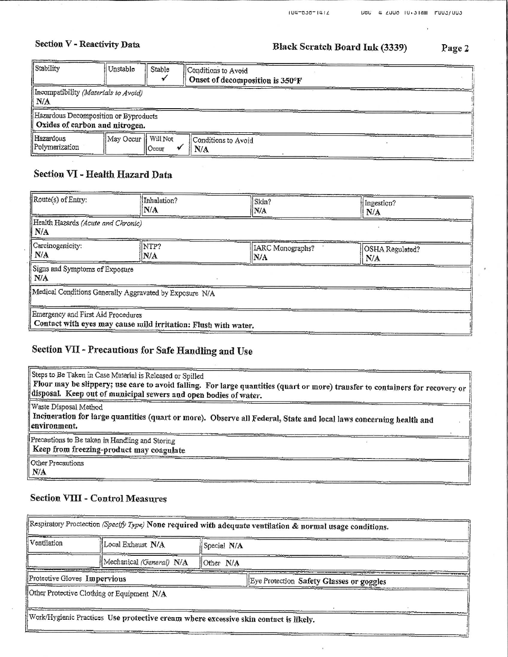## Section V - Reactivity Data

## Black Scratch Board Ink (3339)

Page 2

| Stability                                                               | Unstable  | Stable            | Conditions to Avoid<br>Onset of decomposition is 350°F |
|-------------------------------------------------------------------------|-----------|-------------------|--------------------------------------------------------|
| Incompatibility (Materials to Avoid)<br>   N/A                          |           |                   |                                                        |
| Hazardous Decomposition or Byproducts<br>Oxides of carbon and nitrogen. |           |                   |                                                        |
| Hazardous<br>Polymerization                                             | May Occur | Will Not<br>Occur | Conditions to Avoid<br>N/A                             |

### Section VI - Health Hazard Data

| Route(s) of Entry:                           | Inhalation?<br>IN/A                                            | Skin?<br>N/A            | Ingestion?<br>N/A      |
|----------------------------------------------|----------------------------------------------------------------|-------------------------|------------------------|
| Health Hazards (Acute and Chronic)<br>   N/A |                                                                |                         |                        |
| Carcinogenicity:<br>N/A                      | NTP?<br>N/A                                                    | LARC Monographs?<br>N/A | OSHA Regulated?<br>N/A |
| Signs and Symptoms of Exposure<br>N/A        |                                                                |                         |                        |
|                                              | Medical Conditions Generally Aggravated by Exposure N/A        |                         |                        |
| Emergency and First Aid Procedures           | Contact with eyes may cause mild irritation: Flush with water. |                         | <b>CONTRACTOR</b>      |

# Section VII - Precautions for Safe Handling and Use

| Steps to Be Taken in Case Material is Released or Spilled<br>Floor may be slippery; use care to avoid falling. For large quantities (quart or more) transfer to containers for recovery or $\parallel$<br>disposal. Keep out of municipal sewers and open bodies of water. |
|----------------------------------------------------------------------------------------------------------------------------------------------------------------------------------------------------------------------------------------------------------------------------|
| Waste Disposal Method<br>Incineration for large quantities (quart or more). Observe all Federal, State and local laws concerning health and<br>environment.                                                                                                                |
| Precautions to Be taken in Handling and Storing<br>Keep from freezing-product may coagulate                                                                                                                                                                                |
| <b>Other Precautions</b><br>N/A                                                                                                                                                                                                                                            |

#### **Section VIII - Control Measures**

| Ventilation                  | Local Exhaust N/A                                                                                                                  | Special N/A<br>Other N/A |                                          |
|------------------------------|------------------------------------------------------------------------------------------------------------------------------------|--------------------------|------------------------------------------|
|                              | (Mechanical (General) N/A                                                                                                          |                          |                                          |
| Protective Gloves Impervious |                                                                                                                                    |                          | Eye Protection Safety Glasses or goggles |
|                              | Other Protective Clothing or Equipment N/A<br>Work/Hygienic Practices Use protective cream where excessive skin contact is likely. |                          |                                          |

 $\overline{\phantom{a}}$